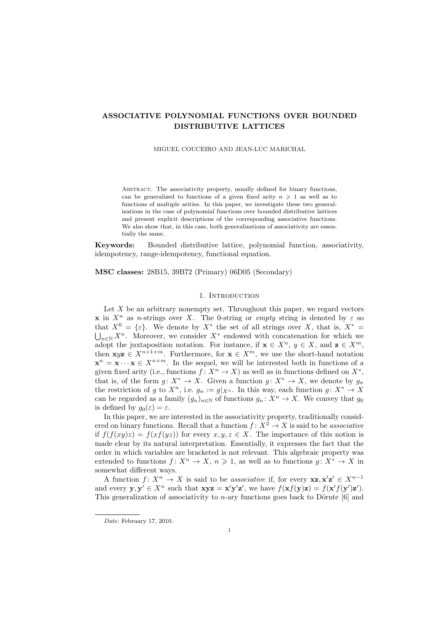# ASSOCIATIVE POLYNOMIAL FUNCTIONS OVER BOUNDED DISTRIBUTIVE LATTICES

#### MIGUEL COUCEIRO AND JEAN-LUC MARICHAL

ABSTRACT. The associativity property, usually defined for binary functions, can be generalized to functions of a given fixed arity  $n \geq 1$  as well as to functions of multiple arities. In this paper, we investigate these two generalizations in the case of polynomial functions over bounded distributive lattices and present explicit descriptions of the corresponding associative functions. We also show that, in this case, both generalizations of associativity are essentially the same.

Keywords: Bounded distributive lattice, polynomial function, associativity, idempotency, range-idempotency, functional equation.

MSC classes: 28B15, 39B72 (Primary) 06D05 (Secondary)

### 1. INTRODUCTION

Let  $X$  be an arbitrary nonempty set. Throughout this paper, we regard vectors **x** in  $X^n$  as n-strings over X. The 0-string or empty string is denoted by  $\varepsilon$  so that  $X^0 = \{\varepsilon\}$ . We denote by  $X^*$  the set of all strings over X, that is,  $X^* =$  $n \in N^n$ . Moreover, we consider  $X^*$  endowed with concatenation for which we adopt the juxtaposition notation. For instance, if  $\mathbf{x} \in X^n$ ,  $y \in X$ , and  $\mathbf{z} \in X^m$ , then  $xyz \in X^{n+1+m}$ . Furthermore, for  $x \in X^m$ , we use the short-hand notation  $\mathbf{x}^n = \mathbf{x} \cdots \mathbf{x} \in X^{n \times m}$ . In the sequel, we will be interested both in functions of a given fixed arity (i.e., functions  $f: X^n \to X$ ) as well as in functions defined on  $X^*$ , that is, of the form  $g: X^* \to X$ . Given a function  $g: X^* \to X$ , we denote by  $g_n$ the restriction of g to  $X^n$ , i.e.  $g_n := g|_{X^n}$ . In this way, each function  $g: X^* \to X$ can be regarded as a family  $(g_n)_{n\in\mathbb{N}}$  of functions  $g_n: X^n \to X$ . We convey that  $g_0$ is defined by  $q_0(\varepsilon) = \varepsilon$ .

In this paper, we are interested in the associativity property, traditionally considered on binary functions. Recall that a function  $f: X^2 \to X$  is said to be associative if  $f(f(xy)z) = f(xf(yz))$  for every  $x, y, z \in X$ . The importance of this notion is made clear by its natural interpretation. Essentially, it expresses the fact that the order in which variables are bracketed is not relevant. This algebraic property was extended to functions  $f: X^n \to X$ ,  $n \geq 1$ , as well as to functions  $g: X^* \to X$  in somewhat different ways.

A function  $f: X^n \to X$  is said to be associative if, for every  $\mathbf{xz}, \mathbf{x}'\mathbf{z}' \in X^{n-1}$ and every  $y, y' \in X^n$  such that  $xyz = x'y'z'$ , we have  $f(xf(y)z) = f(x'f(y')z')$ . This generalization of associativity to  $n$ -ary functions goes back to Dörnte [6] and

Date: February 17, 2010.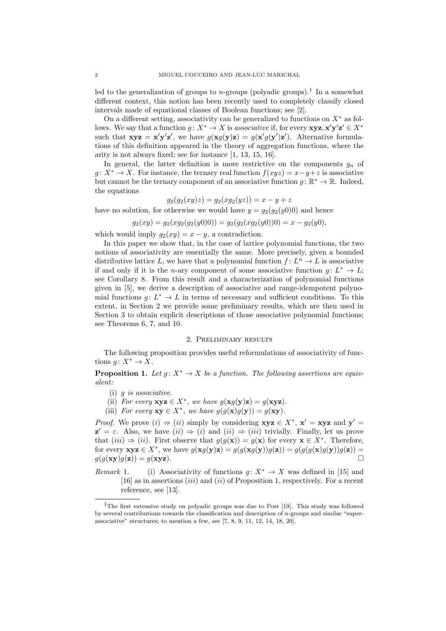led to the generalization of groups to *n*-groups (polyadic groups).<sup>1</sup> In a somewhat different context, this notion has been recently used to completely classify closed intervals made of equational classes of Boolean functions; see [2].

On a different setting, associativity can be generalized to functions on  $X^*$  as follows. We say that a function  $g: X^* \to X$  is associative if, for every  $xyz, x'y'z' \in X^*$ such that  $xyz = x'y'z'$ , we have  $g(xg(y)z) = g(x'g(y')z')$ . Alternative formulations of this definition appeared in the theory of aggregation functions, where the arity is not always fixed; see for instance [1, 13, 15, 16].

In general, the latter definition is more restrictive on the components  $g_n$  of  $g: X^* \to X$ . For instance, the ternary real function  $f(xyz) = x - y + z$  is associative but cannot be the ternary component of an associative function  $g: \mathbb{R}^* \to \mathbb{R}$ . Indeed, the equations

$$
g_2(g_2(xy)z) = g_2(xg_2(yz)) = x - y + z
$$

have no solution, for otherwise we would have  $y = q_2(q_2(y_0))$  and hence

 $g_2(xy) = g_2(xg_2(g_2(y0)0)) = g_2(g_2(xg_2(y0))0) = x - g_2(y0),$ 

which would imply  $q_2(xy) = x - y$ , a contradiction.

In this paper we show that, in the case of lattice polynomial functions, the two notions of associativity are essentially the same. More precisely, given a bounded distributive lattice L, we have that a polynomial function  $f: L^n \to L$  is associative if and only if it is the *n*-ary component of some associative function  $g: L^* \to L$ ; see Corollary 8. From this result and a characterization of polynomial functions given in [5], we derive a description of associative and range-idempotent polynomial functions  $g: L^* \to L$  in terms of necessary and sufficient conditions. To this extent, in Section 2 we provide some preliminary results, which are then used in Section 3 to obtain explicit descriptions of those associative polynomial functions; see Theorems 6, 7, and 10.

## 2. Preliminary results

The following proposition provides useful reformulations of associativity of functions  $g: X^* \to X$ .

**Proposition 1.** Let  $g: X^* \to X$  be a function. The following assertions are equivalent:

- (i) g is associative.
- (ii) For every  $xyz \in X^*$ , we have  $g(xg(y)z) = g(xyz)$ .
- (iii) For every  $xy \in X^*$ , we have  $g(g(x)g(y)) = g(xy)$ .

*Proof.* We prove  $(i) \Rightarrow (ii)$  simply by considering  $xyz \in X^*$ ,  $x' = xyz$  and  $y' =$  $z' = \varepsilon$ . Also, we have  $(ii) \Rightarrow (i)$  and  $(ii) \Rightarrow (iii)$  trivially. Finally, let us prove that  $(iii) \Rightarrow (ii)$ . First observe that  $g(g(\mathbf{x})) = g(\mathbf{x})$  for every  $\mathbf{x} \in X^*$ . Therefore, for every  $xyz \in X^*$ , we have  $g(xg(y)z) = g(g(xg(y))g(z)) = g(g(g(x)g(y))g(z)) =$  $g(g(\mathbf{xy})g(\mathbf{z})) = g(\mathbf{xyz}).$ 

Remark 1. (i) Associativity of functions  $g: X^* \to X$  was defined in [15] and [16] as in assertions *(iii)* and *(ii)* of Proposition 1, respectively. For a recent reference, see [13].

<sup>&</sup>lt;sup>1</sup>The first extensive study on polyadic groups was due to Post [19]. This study was followed by several contributions towards the classification and description of  $n$ -groups and similar "superassociative" structures; to mention a few, see [7, 8, 9, 11, 12, 14, 18, 20].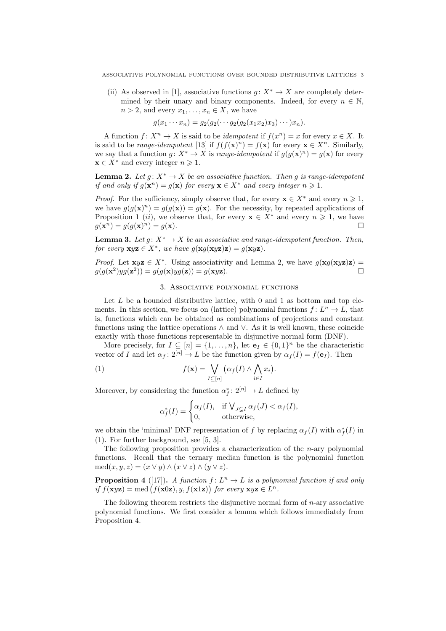(ii) As observed in [1], associative functions  $q: X^* \to X$  are completely determined by their unary and binary components. Indeed, for every  $n \in \mathbb{N}$ ,  $n > 2$ , and every  $x_1, \ldots, x_n \in X$ , we have

$$
g(x_1\cdots x_n)=g_2(g_2(\cdots g_2(g_2(x_1x_2)x_3)\cdots)x_n).
$$

A function  $f: X^n \to X$  is said to be *idempotent* if  $f(x^n) = x$  for every  $x \in X$ . It is said to be *range-idempotent* [13] if  $f(f(\mathbf{x})^n) = f(\mathbf{x})$  for every  $\mathbf{x} \in X^n$ . Similarly, we say that a function  $g: X^* \to X$  is *range-idempotent* if  $g(g(\mathbf{x})^n) = g(\mathbf{x})$  for every  $\mathbf{x} \in X^*$  and every integer  $n \geq 1$ .

**Lemma 2.** Let  $g: X^* \to X$  be an associative function. Then q is range-idempotent if and only if  $g(\mathbf{x}^n) = g(\mathbf{x})$  for every  $\mathbf{x} \in X^*$  and every integer  $n \geq 1$ .

*Proof.* For the sufficiency, simply observe that, for every  $\mathbf{x} \in X^*$  and every  $n \geq 1$ , we have  $g(g(\mathbf{x})^n) = g(g(\mathbf{x})) = g(\mathbf{x})$ . For the necessity, by repeated applications of Proposition 1 (*ii*), we observe that, for every  $x \in X^*$  and every  $n \geq 1$ , we have  $g(\mathbf{x}^n) = g(g(\mathbf{x})^n) = g(\mathbf{x}).$ 

**Lemma 3.** Let  $g: X^* \to X$  be an associative and range-idempotent function. Then, for every  $\mathbf{x} y \mathbf{z} \in X^*$ , we have  $g(\mathbf{x} g(\mathbf{x} y \mathbf{z}) \mathbf{z}) = g(\mathbf{x} y \mathbf{z})$ .

*Proof.* Let  $xyz \in X^*$ . Using associativity and Lemma 2, we have  $g(xg(xyz)z)$  $g(g(\mathbf{x}^2)yg(\mathbf{z}^2)) = g(g(\mathbf{x})yg(\mathbf{z})) = g(\mathbf{x}y\mathbf{z}).$ 

#### 3. Associative polynomial functions

Let  $L$  be a bounded distributive lattice, with 0 and 1 as bottom and top elements. In this section, we focus on (lattice) polynomial functions  $f: L^n \to L$ , that is, functions which can be obtained as combinations of projections and constant functions using the lattice operations  $\land$  and  $\lor$ . As it is well known, these coincide exactly with those functions representable in disjunctive normal form (DNF).

More precisely, for  $I \subseteq [n] = \{1, \ldots, n\}$ , let  $\mathbf{e}_I \in \{0, 1\}^n$  be the characteristic vector of I and let  $\alpha_f: 2^{[n]} \to L$  be the function given by  $\alpha_f(I) = f(\mathbf{e}_I)$ . Then

(1) 
$$
f(\mathbf{x}) = \bigvee_{I \subseteq [n]} (\alpha_f(I) \wedge \bigwedge_{i \in I} x_i).
$$

Moreover, by considering the function  $\alpha_f^* \colon 2^{[n]} \to L$  defined by

$$
\alpha_f^*(I) = \begin{cases} \alpha_f(I), & \text{if } \bigvee_{J \subsetneq I} \alpha_f(J) < \alpha_f(I), \\ 0, & \text{otherwise,} \end{cases}
$$

we obtain the 'minimal' DNF representation of f by replacing  $\alpha_f(I)$  with  $\alpha_f^*(I)$  in (1). For further background, see [5, 3].

The following proposition provides a characterization of the  $n$ -ary polynomial functions. Recall that the ternary median function is the polynomial function  $\text{med}(x, y, z) = (x \vee y) \wedge (x \vee z) \wedge (y \vee z).$ 

**Proposition 4** ([17]). A function  $f: L^n \to L$  is a polynomial function if and only **Proposition 4** ([17]). A function  $f: L^{\infty} \to L$  is a poiym<br>if  $f(\mathbf{x} y \mathbf{z}) = \text{med} (f(\mathbf{x} 0 \mathbf{z}), y, f(\mathbf{x} 1 \mathbf{z}))$  for every  $\mathbf{x} y \mathbf{z} \in L^{n}$ .

The following theorem restricts the disjunctive normal form of  $n$ -ary associative polynomial functions. We first consider a lemma which follows immediately from Proposition 4.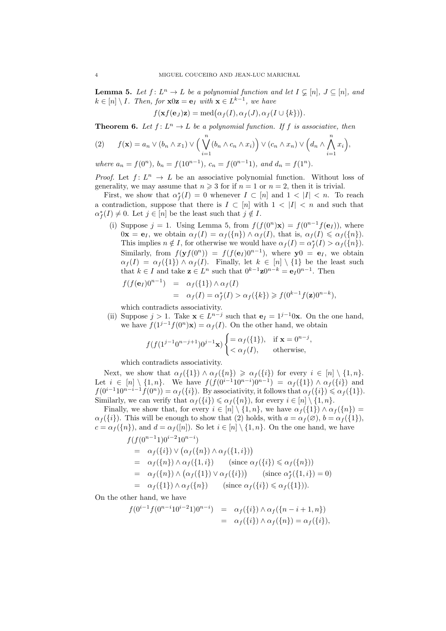**Lemma 5.** Let  $f: L^n \to L$  be a polynomial function and let  $I \subsetneq [n]$ ,  $J \subseteq [n]$ , and  $k \in [n] \setminus I$ . Then, for  $\mathbf{x}0\mathbf{z} = \mathbf{e}_I$  with  $\mathbf{x} \in L^{k-1}$ , we have ¢

$$
f(\mathbf{x}f(\mathbf{e}_J)\mathbf{z}) = \text{med}(\alpha_f(I), \alpha_f(J), \alpha_f(I \cup \{k\})).
$$

**Theorem 6.** Let  $f: L^n \to L$  be a polynomial function. If f is associative, then

$$
(2) \qquad f(\mathbf{x}) = a_n \vee (b_n \wedge x_1) \vee \Big(\bigvee_{i=1}^n (b_n \wedge c_n \wedge x_i)\Big) \vee (c_n \wedge x_n) \vee \Big(d_n \wedge \bigwedge_{i=1}^n x_i\Big),
$$

where 
$$
a_n = f(0^n)
$$
,  $b_n = f(10^{n-1})$ ,  $c_n = f(0^{n-1}1)$ , and  $d_n = f(1^n)$ .

*Proof.* Let  $f: L^n \to L$  be an associative polynomial function. Without loss of generality, we may assume that  $n \geq 3$  for if  $n = 1$  or  $n = 2$ , then it is trivial.

First, we show that  $\alpha_f^*(I) = 0$  whenever  $I \subset [n]$  and  $1 < |I| < n$ . To reach a contradiction, suppose that there is  $I \subset [n]$  with  $1 < |I| < n$  and such that  $\alpha_f^*(I) \neq 0$ . Let  $j \in [n]$  be the least such that  $j \notin I$ .

(i) Suppose  $j = 1$ . Using Lemma 5, from  $f(f(0^n)x) = f(0^{n-1}f(e_I))$ , where  $0\mathbf{x} = \mathbf{e}_I$ , we obtain  $\alpha_f(I) = \alpha_f(\lbrace n \rbrace) \wedge \alpha_f(I)$ , that is,  $\alpha_f(I) \leq \alpha_f(\lbrace n \rbrace)$ . This implies  $n \notin I$ , for otherwise we would have  $\alpha_f(I) = \alpha_f^*(I) > \alpha_f(\lbrace n \rbrace)$ . Similarly, from  $f(\mathbf{y}f(0^n)) = f(f(\mathbf{e}_I)0^{n-1})$ , where  $\mathbf{y}0 = \mathbf{e}_I$ , we obtain  $\alpha_f(I) = \alpha_f(\{1\}) \wedge \alpha_f(I)$ . Finally, let  $k \in [n] \setminus \{1\}$  be the least such that  $k \in I$  and take  $\mathbf{z} \in L^n$  such that  $0^{k-1} \mathbf{z} 0^{n-k} = \mathbf{e}_I 0^{n-1}$ . Then

$$
f(f(\mathbf{e}_I)0^{n-1}) = \alpha_f(\{1\}) \wedge \alpha_f(I)
$$
  
=  $\alpha_f(I) = \alpha_f^*(I) > \alpha_f(\{k\}) \ge f(0^{k-1}f(\mathbf{z})0^{n-k}),$ 

which contradicts associativity.

(ii) Suppose  $j > 1$ . Take  $\mathbf{x} \in L^{n-j}$  such that  $\mathbf{e}_I = 1^{j-1}0\mathbf{x}$ . On the one hand, we have  $f(1^{j-1}f(0^n)\mathbf{x}) = \alpha_f(I)$ . On the other hand, we obtain

,

$$
f(f(1^{j-1}0^{n-j+1})0^{j-1}\mathbf{x})\begin{cases}=\alpha_f(\{1\}), & \text{if }\mathbf{x}=0^{n-j} \\ < \alpha_f(I), & \text{otherwise,} \end{cases}
$$

which contradicts associativity.

Next, we show that  $\alpha_f({1}) \wedge \alpha_f({n}) \geq \alpha_f({i})$  for every  $i \in [n] \setminus {1, n}$ . Let  $i \in [n] \setminus \{1, n\}$ . We have  $f(f(0^{i-1}10^{n-i})0^{n-1}) = \alpha_f(\{1\}) \wedge \alpha_f(\{i\})$  and  $f(0^{i-1}10^{n-i-1}f(0^n)) = \alpha_f({i}).$  By associativity, it follows that  $\alpha_f({i}) \leq \alpha_f({1}).$ Similarly, we can verify that  $\alpha_f({i}) \leq \alpha_f({n})$ , for every  $i \in [n] \setminus \{1, n\}.$ 

Finally, we show that, for every  $i \in [n] \setminus \{1, n\}$ , we have  $\alpha_f(\{1\}) \wedge \alpha_f(\{n\}) =$  $\alpha_f({i})$ . This will be enough to show that (2) holds, with  $a = \alpha_f(\emptyset)$ ,  $b = \alpha_f({1})$ ,  $c = \alpha_f(\lbrace n \rbrace)$ , and  $d = \alpha_f([n])$ . So let  $i \in [n] \setminus \lbrace 1, n \rbrace$ . On the one hand, we have

$$
f(f(0^{n-1}1)0^{i-2}10^{n-i})
$$
  
=  $\alpha_f({i}) \vee (\alpha_f({n}) \wedge \alpha_f({1,i}))$   
=  $\alpha_f({n}) \wedge \alpha_f({1,i})$  (since  $\alpha_f({i}) \leq \alpha_f({n})$ )  
=  $\alpha_f({n}) \wedge (\alpha_f({1}) \vee \alpha_f({i}))$  (since  $\alpha_f^*(1,i) = 0$ )  
=  $\alpha_f({1}) \wedge \alpha_f({n})$  (since  $\alpha_f({i}) \leq \alpha_f({1})$ ).

On the other hand, we have

$$
f(0^{i-1} f(0^{n-i} 1 0^{i-2} 1) 0^{n-i}) = \alpha_f(\{i\}) \wedge \alpha_f(\{n-i+1, n\})
$$
  
=  $\alpha_f(\{i\}) \wedge \alpha_f(\{n\}) = \alpha_f(\{i\}),$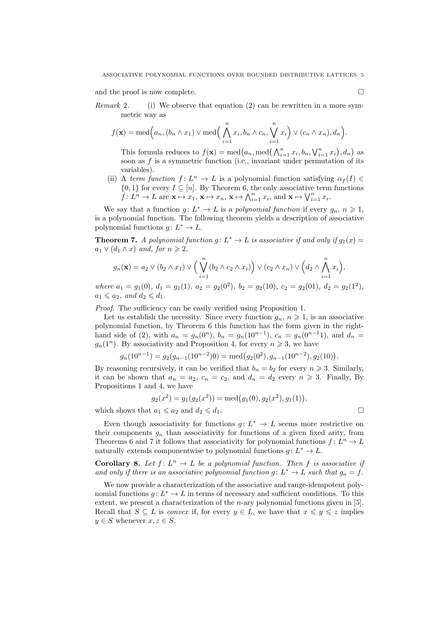and the proof is now complete.  $\Box$ 

*Remark* 2. (i) We observe that equation (2) can be rewritten in a more symmetric way as

$$
f(\mathbf{x}) = \text{med}\Big(a_n, (b_n \wedge x_1) \vee \text{med}\Big(\bigwedge_{i=1}^n x_i, b_n \wedge c_n, \bigvee_{i=1}^n x_i\Big) \vee (c_n \wedge x_n), d_n\Big).
$$

This formula reduces to  $f(\mathbf{x}) = \text{med}(a_n, \text{med}(\bigwedge_{i=1}^n x_i, b_n, \bigvee_{i=1}^n x_i)$  $, d_n$ ¢ as soon as  $f$  is a symmetric function (i.e., invariant under permutation of its variables).

(ii) A term function  $f: L^n \to L$  is a polynomial function satisfying  $\alpha_f(I) \in$  ${0, 1}$  for every  $I \subseteq [n]$ . By Theorem 6, the only associative term functions {0, 1} for every  $I \subseteq [n]$ . By Theorem 0, the only associative term<br> $f: L^n \to L$  are  $\mathbf{x} \mapsto x_1$ ,  $\mathbf{x} \mapsto x_n$ ,  $\mathbf{x} \mapsto \bigwedge_{i=1}^n x_i$ , and  $\mathbf{x} \mapsto \bigvee_{i=1}^n x_i$ .

We say that a function  $g: L^* \to L$  is a polynomial function if every  $g_n, n \geq 1$ , is a polynomial function. The following theorem yields a description of associative polynomial functions  $g: L^* \to L$ .

**Theorem 7.** A polynomial function  $g: L^* \to L$  is associative if and only if  $g_1(x) =$  $a_1 \vee (d_1 \wedge x)$  and, for  $n \geq 2$ ,

$$
g_n(\mathbf{x}) = a_2 \vee (b_2 \wedge x_1) \vee \Big(\bigvee_{i=1}^n (b_2 \wedge c_2 \wedge x_i)\Big) \vee (c_2 \wedge x_n) \vee \Big(d_2 \wedge \bigwedge_{i=1}^n x_i\Big),
$$

where  $a_1 = g_1(0), d_1 = g_1(1), a_2 = g_2(0^2), b_2 = g_2(10), c_2 = g_2(01), d_2 = g_2(1^2),$  $a_1 \leqslant a_2$ , and  $d_2 \leqslant d_1$ .

Proof. The sufficiency can be easily verified using Proposition 1.

Let us establish the necessity. Since every function  $g_n$ ,  $n \geq 1$ , is an associative polynomial function, by Theorem 6 this function has the form given in the righthand side of (2), with  $a_n = g_n(0^n)$ ,  $b_n = g_n(10^{n-1})$ ,  $c_n = g_n(0^{n-1})$ , and  $d_n =$  $g_n(1^n)$ . By associativity and Proposition 4, for every  $n \geq 3$ , we have

$$
g_n(10^{n-1}) = g_2(g_{n-1}(10^{n-2})0) = \text{med}(g_2(0^2), g_{n-1}(10^{n-2}), g_2(10)).
$$

By reasoning recursively, it can be verified that  $b_n = b_2$  for every  $n \ge 3$ . Similarly, it can be shown that  $a_n = a_2$ ,  $c_n = c_2$ , and  $d_n = d_2$  every  $n \ge 3$ . Finally, By Propositions 1 and 4, we have

$$
g_2(x^2) = g_1(g_2(x^2)) = \text{med}(g_1(0), g_2(x^2), g_1(1)),
$$

which shows that  $a_1 \leq a_2$  and  $d_2 \leq d_1$ .

Even though associativity for functions  $g: L^* \to L$  seems more restrictive on their components  $g_n$  than associativity for functions of a given fixed arity, from Theorems 6 and 7 it follows that associativity for polynomial functions  $f: L^n \to L$ naturally extends componentwise to polynomial functions  $g: L^* \to L$ .

**Corollary 8.** Let  $f: L^n \to L$  be a polynomial function. Then f is associative if and only if there is an associative polynomial function  $g: L^* \to L$  such that  $g_n = f$ .

We now provide a characterization of the associative and range-idempotent polynomial functions  $g: L^* \to L$  in terms of necessary and sufficient conditions. To this extent, we present a characterization of the *n*-ary polynomial functions given in [5]. Recall that  $S \subseteq L$  is *convex* if, for every  $y \in L$ , we have that  $x \leq y \leq z$  implies  $y \in S$  whenever  $x, z \in S$ .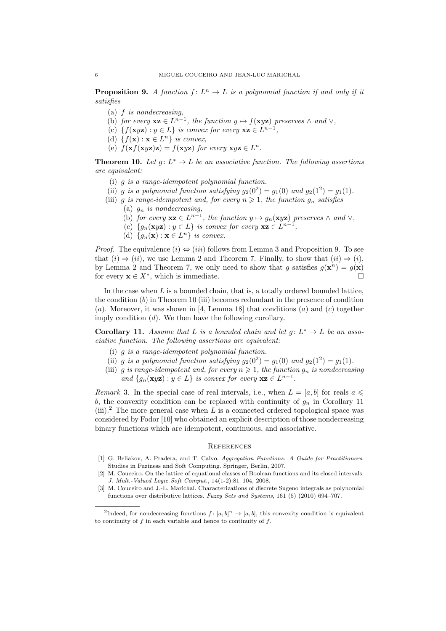**Proposition 9.** A function  $f: L^n \to L$  is a polynomial function if and only if it satisfies

- (a) f is nondecreasing,
- (b) for every  $\mathbf{xz} \in L^{n-1}$ , the function  $y \mapsto f(\mathbf{x}y\mathbf{z})$  preserves  $\wedge$  and  $\vee$ ,
- (c)  $\{f(\mathbf{x}y\mathbf{z}): y \in L\}$  is convex for every  $\mathbf{x}\mathbf{z} \in L^{n-1}$ ,
- (d)  $\{f(\mathbf{x}) : \mathbf{x} \in L^n\}$  is convex,
- (e)  $f(\mathbf{x}f(\mathbf{x}y\mathbf{z})\mathbf{z}) = f(\mathbf{x}y\mathbf{z})$  for every  $\mathbf{x}y\mathbf{z} \in L^n$ .

**Theorem 10.** Let  $g: L^* \to L$  be an associative function. The following assertions are equivalent:

- (i) g is a range-idempotent polynomial function.
- (ii) g is a polynomial function satisfying  $g_2(0^2) = g_1(0)$  and  $g_2(1^2) = g_1(1)$ .
- (iii) g is range-idempotent and, for every  $n \geq 1$ , the function  $g_n$  satisfies
	- (a)  $g_n$  is nondecreasing,
	- (b) for every  $xz \in L^{n-1}$ , the function  $y \mapsto g_n(xyz)$  preserves  $\wedge$  and  $\vee$ ,
	- (c)  $\{g_n(\mathbf{x} y\mathbf{z}) : y \in L\}$  is convex for every  $\mathbf{x} \mathbf{z} \in L^{n-1}$ ,
	- (d)  $\{g_n(\mathbf{x}) : \mathbf{x} \in L^n\}$  is convex.

*Proof.* The equivalence  $(i) \Leftrightarrow (iii)$  follows from Lemma 3 and Proposition 9. To see that  $(i) \Rightarrow (ii)$ , we use Lemma 2 and Theorem 7. Finally, to show that  $(ii) \Rightarrow (i)$ , by Lemma 2 and Theorem 7, we only need to show that g satisfies  $g(\mathbf{x}^n) = g(\mathbf{x})$ for every  $\mathbf{x} \in X^*$ , which is immediate.  $\square$ 

In the case when  $L$  is a bounded chain, that is, a totally ordered bounded lattice, the condition  $(b)$  in Theorem 10 (iii) becomes redundant in the presence of condition (a). Moreover, it was shown in [4, Lemma 18] that conditions (a) and (c) together imply condition  $(d)$ . We then have the following corollary.

**Corollary 11.** Assume that L is a bounded chain and let  $g: L^* \to L$  be an associative function. The following assertions are equivalent:

- (i) g is a range-idempotent polynomial function.
- (ii) g is a polynomial function satisfying  $g_2(0^2) = g_1(0)$  and  $g_2(1^2) = g_1(1)$ .
- (iii) g is range-idempotent and, for every  $n \geq 1$ , the function  $g_n$  is nondecreasing and  $\{g_n(\mathbf{x} y\mathbf{z}): y \in L\}$  is convex for every  $\mathbf{x} \mathbf{z} \in L^{n-1}$ .

Remark 3. In the special case of real intervals, i.e., when  $L = [a, b]$  for reals  $a \leq$ b, the convexity condition can be replaced with continuity of  $g_n$  in Corollary 11 (iii).<sup>2</sup> The more general case when  $L$  is a connected ordered topological space was considered by Fodor [10] who obtained an explicit description of those nondecreasing binary functions which are idempotent, continuous, and associative.

# **REFERENCES**

- [1] G. Beliakov, A. Pradera, and T. Calvo. Aggregation Functions: A Guide for Practitioners. Studies in Fuziness and Soft Computing. Springer, Berlin, 2007.
- [2] M. Couceiro. On the lattice of equational classes of Boolean functions and its closed intervals. J. Mult.-Valued Logic Soft Comput., 14(1-2):81–104, 2008.
- [3] M. Couceiro and J.-L. Marichal. Characterizations of discrete Sugeno integrals as polynomial functions over distributive lattices. Fuzzy Sets and Systems, 161 (5) (2010) 694–707.

<sup>&</sup>lt;sup>2</sup>Indeed, for nondecreasing functions  $f: [a, b]^n \to [a, b]$ , this convexity condition is equivalent to continuity of  $f$  in each variable and hence to continuity of  $f$ .